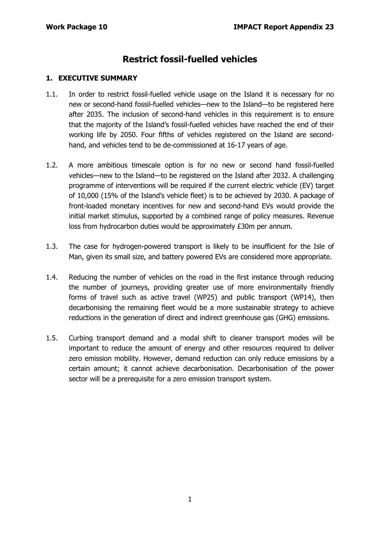# **Restrict fossil-fuelled vehicles**

#### **1. EXECUTIVE SUMMARY**

- 1.1. In order to restrict fossil-fuelled vehicle usage on the Island it is necessary for no new or second-hand fossil-fuelled vehicles—new to the Island—to be registered here after 2035. The inclusion of second-hand vehicles in this requirement is to ensure that the majority of the Island's fossil-fuelled vehicles have reached the end of their working life by 2050. Four fifths of vehicles registered on the Island are secondhand, and vehicles tend to be de-commissioned at 16-17 years of age.
- 1.2. A more ambitious timescale option is for no new or second hand fossil-fuelled vehicles—new to the Island—to be registered on the Island after 2032. A challenging programme of interventions will be required if the current electric vehicle (EV) target of 10,000 (15% of the Island's vehicle fleet) is to be achieved by 2030. A package of front-loaded monetary incentives for new and second-hand EVs would provide the initial market stimulus, supported by a combined range of policy measures. Revenue loss from hydrocarbon duties would be approximately £30m per annum.
- 1.3. The case for hydrogen-powered transport is likely to be insufficient for the Isle of Man, given its small size, and battery powered EVs are considered more appropriate.
- 1.4. Reducing the number of vehicles on the road in the first instance through reducing the number of journeys, providing greater use of more environmentally friendly forms of travel such as active travel (WP25) and public transport (WP14), then decarbonising the remaining fleet would be a more sustainable strategy to achieve reductions in the generation of direct and indirect greenhouse gas (GHG) emissions.
- 1.5. Curbing transport demand and a modal shift to cleaner transport modes will be important to reduce the amount of energy and other resources required to deliver zero emission mobility. However, demand reduction can only reduce emissions by a certain amount; it cannot achieve decarbonisation. Decarbonisation of the power sector will be a prerequisite for a zero emission transport system.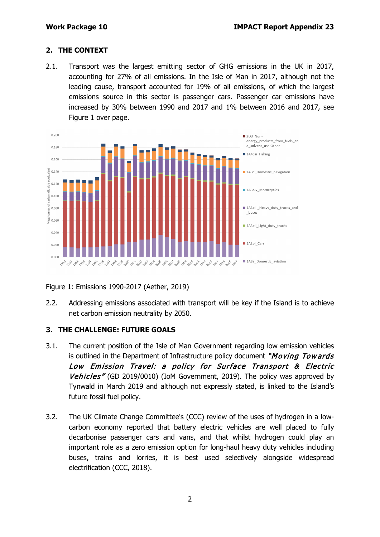### **2. THE CONTEXT**

2.1. Transport was the largest emitting sector of GHG emissions in the UK in 2017, accounting for 27% of all emissions. In the Isle of Man in 2017, although not the leading cause, transport accounted for 19% of all emissions, of which the largest emissions source in this sector is passenger cars. Passenger car emissions have increased by 30% between 1990 and 2017 and 1% between 2016 and 2017, see Figure 1 over page.



Figure 1: Emissions 1990-2017 (Aether, 2019)

2.2. Addressing emissions associated with transport will be key if the Island is to achieve net carbon emission neutrality by 2050.

### **3. THE CHALLENGE: FUTURE GOALS**

- 3.1. The current position of the Isle of Man Government regarding low emission vehicles is outlined in the Department of Infrastructure policy document "Moving Towards" Low Emission Travel: a policy for Surface Transport & Electric Vehicles" (GD 2019/0010) (IoM Government, 2019). The policy was approved by Tynwald in March 2019 and although not expressly stated, is linked to the Island's future fossil fuel policy.
- 3.2. The UK Climate Change Committee's (CCC) review of the uses of hydrogen in a lowcarbon economy reported that battery electric vehicles are well placed to fully decarbonise passenger cars and vans, and that whilst hydrogen could play an important role as a zero emission option for long-haul heavy duty vehicles including buses, trains and lorries, it is best used selectively alongside widespread electrification (CCC, 2018).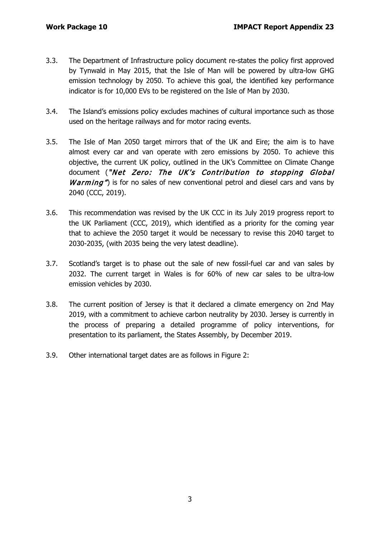- 3.3. The Department of Infrastructure policy document re-states the policy first approved by Tynwald in May 2015, that the Isle of Man will be powered by ultra-low GHG emission technology by 2050. To achieve this goal, the identified key performance indicator is for 10,000 EVs to be registered on the Isle of Man by 2030.
- 3.4. The Island's emissions policy excludes machines of cultural importance such as those used on the heritage railways and for motor racing events.
- 3.5. The Isle of Man 2050 target mirrors that of the UK and Eire; the aim is to have almost every car and van operate with zero emissions by 2050. To achieve this objective, the current UK policy, outlined in the UK's Committee on Climate Change document ("Net Zero: The UK's Contribution to stopping Global *Warming*" is for no sales of new conventional petrol and diesel cars and vans by 2040 (CCC, 2019).
- 3.6. This recommendation was revised by the UK CCC in its July 2019 progress report to the UK Parliament (CCC, 2019), which identified as a priority for the coming year that to achieve the 2050 target it would be necessary to revise this 2040 target to 2030-2035, (with 2035 being the very latest deadline).
- 3.7. Scotland's target is to phase out the sale of new fossil-fuel car and van sales by 2032. The current target in Wales is for 60% of new car sales to be ultra-low emission vehicles by 2030.
- 3.8. The current position of Jersey is that it declared a climate emergency on 2nd May 2019, with a commitment to achieve carbon neutrality by 2030. Jersey is currently in the process of preparing a detailed programme of policy interventions, for presentation to its parliament, the States Assembly, by December 2019.
- 3.9. Other international target dates are as follows in Figure 2: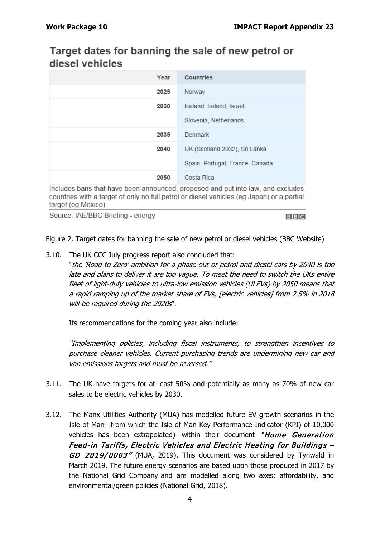# Target dates for banning the sale of new petrol or diesel vehicles

| Year | <b>Countries</b>                |
|------|---------------------------------|
| 2025 | Norway                          |
| 2030 | Iceland, Ireland, Israel,       |
|      | Slovenia, Netherlands           |
| 2035 | Denmark                         |
| 2040 | UK (Scotland 2032), Sri Lanka   |
|      | Spain, Portugal, France, Canada |
| 2050 | Costa Rica                      |

Includes bans that have been announced, proposed and put into law, and excludes countries with a target of only no full petrol or diesel vehicles (eq Japan) or a partial target (eg Mexico)

Source: IAE/BBC Briefing - energy

**BBC** 

Figure 2. Target dates for banning the sale of new petrol or diesel vehicles (BBC Website)

3.10. The UK CCC July progress report also concluded that:

"the 'Road to Zero' ambition for a phase-out of petrol and diesel cars by 2040 is too late and plans to deliver it are too vague. To meet the need to switch the UKs entire fleet of light-duty vehicles to ultra-low emission vehicles (ULEVs) by 2050 means that a rapid ramping up of the market share of EVs, [electric vehicles] from 2.5% in 2018 will be required during the 2020s".

Its recommendations for the coming year also include:

"Implementing policies, including fiscal instruments, to strengthen incentives to purchase cleaner vehicles. Current purchasing trends are undermining new car and van emissions targets and must be reversed."

- 3.11. The UK have targets for at least 50% and potentially as many as 70% of new car sales to be electric vehicles by 2030.
- 3.12. The Manx Utilities Authority (MUA) has modelled future EV growth scenarios in the Isle of Man—from which the Isle of Man Key Performance Indicator (KPI) of 10,000 vehicles has been extrapolated)—within their document "Home Generation Feed-in Tariffs, Electric Vehicles and Electric Heating for Buildings – GD 2019/0003" (MUA, 2019). This document was considered by Tynwald in March 2019. The future energy scenarios are based upon those produced in 2017 by the National Grid Company and are modelled along two axes: affordability, and environmental/green policies (National Grid, 2018).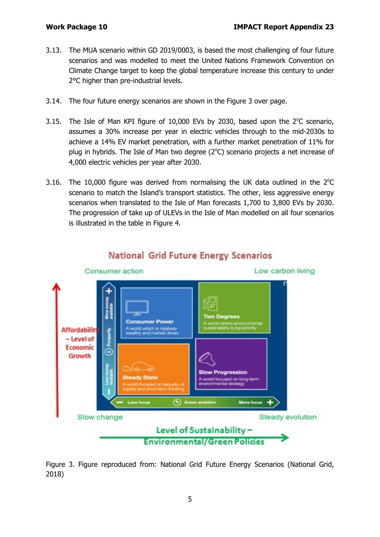- 3.13. The MUA scenario within GD 2019/0003, is based the most challenging of four future scenarios and was modelled to meet the United Nations Framework Convention on Climate Change target to keep the global temperature increase this century to under 2°C higher than pre-industrial levels.
- 3.14. The four future energy scenarios are shown in the Figure 3 over page.
- 3.15. The Isle of Man KPI figure of 10,000 EVs by 2030, based upon the  $2^{\circ}$ C scenario, assumes a 30% increase per year in electric vehicles through to the mid-2030s to achieve a 14% EV market penetration, with a further market penetration of 11% for plug in hybrids. The Isle of Man two degree  $(2^{\circ}C)$  scenario projects a net increase of 4,000 electric vehicles per year after 2030.
- 3.16. The 10,000 figure was derived from normalising the UK data outlined in the  $2^{\circ}$ C scenario to match the Island's transport statistics. The other, less aggressive energy scenarios when translated to the Isle of Man forecasts 1,700 to 3,800 EVs by 2030. The progression of take up of ULEVs in the Isle of Man modelled on all four scenarios is illustrated in the table in Figure 4.



# **National Grid Future Energy Scenarios**

Figure 3. Figure reproduced from: National Grid Future Energy Scenarios (National Grid, 2018)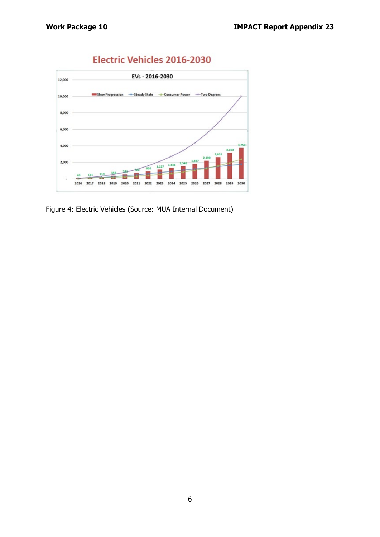

# **Electric Vehicles 2016-2030**

Figure 4: Electric Vehicles (Source: MUA Internal Document)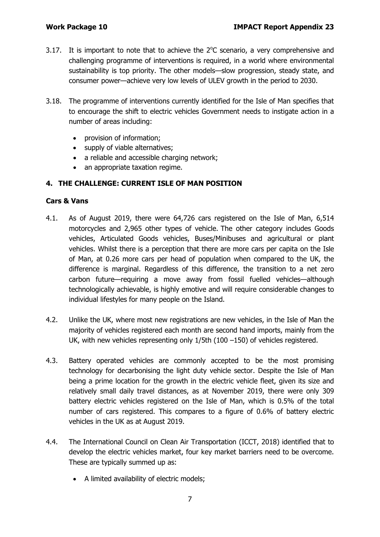- 3.17. It is important to note that to achieve the  $2^{\circ}$ C scenario, a very comprehensive and challenging programme of interventions is required, in a world where environmental sustainability is top priority. The other models—slow progression, steady state, and consumer power—achieve very low levels of ULEV growth in the period to 2030.
- 3.18. The programme of interventions currently identified for the Isle of Man specifies that to encourage the shift to electric vehicles Government needs to instigate action in a number of areas including:
	- provision of information;
	- supply of viable alternatives;
	- a reliable and accessible charging network;
	- an appropriate taxation regime.

#### **4. THE CHALLENGE: CURRENT ISLE OF MAN POSITION**

#### **Cars & Vans**

- 4.1. As of August 2019, there were 64,726 cars registered on the Isle of Man, 6,514 motorcycles and 2,965 other types of vehicle. The other category includes Goods vehicles, Articulated Goods vehicles, Buses/Minibuses and agricultural or plant vehicles. Whilst there is a perception that there are more cars per capita on the Isle of Man, at 0.26 more cars per head of population when compared to the UK, the difference is marginal. Regardless of this difference, the transition to a net zero carbon future—requiring a move away from fossil fuelled vehicles—although technologically achievable, is highly emotive and will require considerable changes to individual lifestyles for many people on the Island.
- 4.2. Unlike the UK, where most new registrations are new vehicles, in the Isle of Man the majority of vehicles registered each month are second hand imports, mainly from the UK, with new vehicles representing only 1/5th (100 –150) of vehicles registered.
- 4.3. Battery operated vehicles are commonly accepted to be the most promising technology for decarbonising the light duty vehicle sector. Despite the Isle of Man being a prime location for the growth in the electric vehicle fleet, given its size and relatively small daily travel distances, as at November 2019, there were only 309 battery electric vehicles registered on the Isle of Man, which is 0.5% of the total number of cars registered. This compares to a figure of 0.6% of battery electric vehicles in the UK as at August 2019.
- 4.4. The International Council on Clean Air Transportation (ICCT, 2018) identified that to develop the electric vehicles market, four key market barriers need to be overcome. These are typically summed up as:
	- A limited availability of electric models;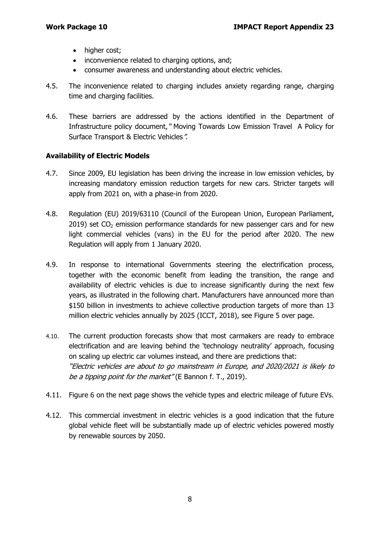- higher cost;
- inconvenience related to charging options, and;
- consumer awareness and understanding about electric vehicles.
- 4.5. The inconvenience related to charging includes anxiety regarding range, charging time and charging facilities.
- 4.6. These barriers are addressed by the actions identified in the Department of Infrastructure policy document," Moving Towards Low Emission Travel A Policy for Surface Transport & Electric Vehicles".

#### **Availability of Electric Models**

- 4.7. Since 2009, EU legislation has been driving the increase in low emission vehicles, by increasing mandatory emission reduction targets for new cars. Stricter targets will apply from 2021 on, with a phase-in from 2020.
- 4.8. Regulation (EU) 2019/63110 (Council of the European Union, European Parliament, 2019) set  $CO<sub>2</sub>$  emission performance standards for new passenger cars and for new light commercial vehicles (vans) in the EU for the period after 2020. The new Regulation will apply from 1 January 2020.
- 4.9. In response to international Governments steering the electrification process, together with the economic benefit from leading the transition, the range and availability of electric vehicles is due to increase significantly during the next few years, as illustrated in the following chart. Manufacturers have announced more than \$150 billion in investments to achieve collective production targets of more than 13 million electric vehicles annually by 2025 (ICCT, 2018), see Figure 5 over page.
- 4.10. The current production forecasts show that most carmakers are ready to embrace electrification and are leaving behind the 'technology neutrality' approach, focusing on scaling up electric car volumes instead, and there are predictions that: "Electric vehicles are about to go mainstream in Europe, and 2020/2021 is likely to be a tipping point for the market" (E Bannon f. T., 2019).
- 4.11. Figure 6 on the next page shows the vehicle types and electric mileage of future EVs.
- 4.12. This commercial investment in electric vehicles is a good indication that the future global vehicle fleet will be substantially made up of electric vehicles powered mostly by renewable sources by 2050.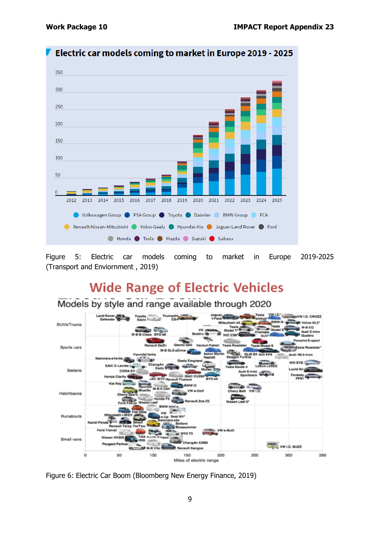

Electric car models coming to market in Europe 2019 - 2025

Figure 5: Electric car models coming to market in Europe 2019-2025 (Transport and Enviornment , 2019)

# **Wide Range of Electric Vehicles**

Models by style and range available through 2020



Figure 6: Electric Car Boom (Bloomberg New Energy Finance, 2019)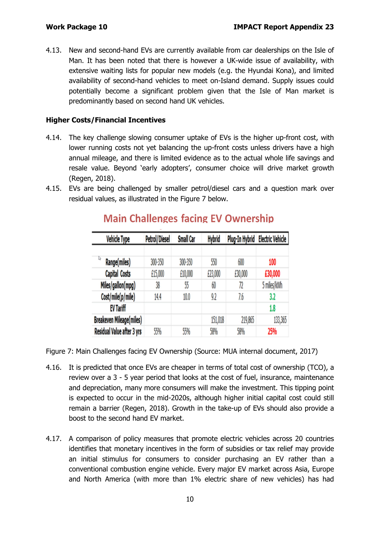4.13. New and second-hand EVs are currently available from car dealerships on the Isle of Man. It has been noted that there is however a UK-wide issue of availability, with extensive waiting lists for popular new models (e.g. the Hyundai Kona), and limited availability of second-hand vehicles to meet on-Island demand. Supply issues could potentially become a significant problem given that the Isle of Man market is predominantly based on second hand UK vehicles.

### **Higher Costs/Financial Incentives**

- 4.14. The key challenge slowing consumer uptake of EVs is the higher up-front cost, with lower running costs not yet balancing the up-front costs unless drivers have a high annual mileage, and there is limited evidence as to the actual whole life savings and resale value. Beyond 'early adopters', consumer choice will drive market growth (Regen, 2018).
- 4.15. EVs are being challenged by smaller petrol/diesel cars and a question mark over residual values, as illustrated in the Figure 7 below.

| <b>Vehicle Type</b>             | Petrol/Diesel | <b>Small Car</b> | <b>Hybrid</b> |         | Plug-In Hybrid Electric Vehicle |
|---------------------------------|---------------|------------------|---------------|---------|---------------------------------|
| ₫<br>Range(miles)               | 300-350       | 300-350          | 550           | 600     | 100                             |
| Capital Costs                   | £15,000       | £10,000          | £23,000       | £30,000 | £30,000                         |
| Miles/gallon(mpg)               | 38            | 55               | 60            | 72      | 5 miles/kWh                     |
| Cost/mile(p/mile)               | 14.4          | 10.0             | 9.2           | 7.6     | 3.2                             |
| <b>EV Tariff</b>                |               |                  |               |         | 1.8                             |
| <b>Breakeven Mileage(miles)</b> |               |                  | 151,018       | 219,865 | 133,365                         |
| Residual Value after 3 yrs      | 55%           | 55%              | 58%           | 58%     | 25%                             |

# **Main Challenges facing EV Ownership**

Figure 7: Main Challenges facing EV Ownership (Source: MUA internal document, 2017)

- 4.16. It is predicted that once EVs are cheaper in terms of total cost of ownership (TCO), a review over a 3 - 5 year period that looks at the cost of fuel, insurance, maintenance and depreciation, many more consumers will make the investment. This tipping point is expected to occur in the mid-2020s, although higher initial capital cost could still remain a barrier (Regen, 2018). Growth in the take-up of EVs should also provide a boost to the second hand EV market.
- 4.17. A comparison of policy measures that promote electric vehicles across 20 countries identifies that monetary incentives in the form of subsidies or tax relief may provide an initial stimulus for consumers to consider purchasing an EV rather than a conventional combustion engine vehicle. Every major EV market across Asia, Europe and North America (with more than 1% electric share of new vehicles) has had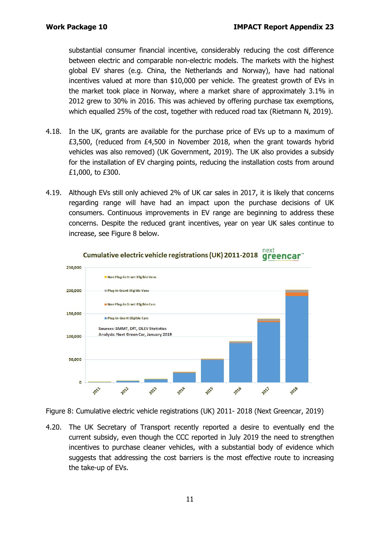substantial consumer financial incentive, considerably reducing the cost difference between electric and comparable non-electric models. The markets with the highest global EV shares (e.g. China, the Netherlands and Norway), have had national incentives valued at more than \$10,000 per vehicle. The greatest growth of EVs in the market took place in Norway, where a market share of approximately 3.1% in 2012 grew to 30% in 2016. This was achieved by offering purchase tax exemptions, which equalled 25% of the cost, together with reduced road tax (Rietmann N, 2019).

- 4.18. In the UK, grants are available for the purchase price of EVs up to a maximum of £3,500, (reduced from £4,500 in November 2018, when the grant towards hybrid vehicles was also removed) (UK Government, 2019). The UK also provides a subsidy for the installation of EV charging points, reducing the installation costs from around £1,000, to £300.
- 4.19. Although EVs still only achieved 2% of UK car sales in 2017, it is likely that concerns regarding range will have had an impact upon the purchase decisions of UK consumers. Continuous improvements in EV range are beginning to address these concerns. Despite the reduced grant incentives, year on year UK sales continue to increase, see Figure 8 below.





Figure 8: Cumulative electric vehicle registrations (UK) 2011- 2018 (Next Greencar, 2019)

4.20. The UK Secretary of Transport recently reported a desire to eventually end the current subsidy, even though the CCC reported in July 2019 the need to strengthen incentives to purchase cleaner vehicles, with a substantial body of evidence which suggests that addressing the cost barriers is the most effective route to increasing the take-up of EVs.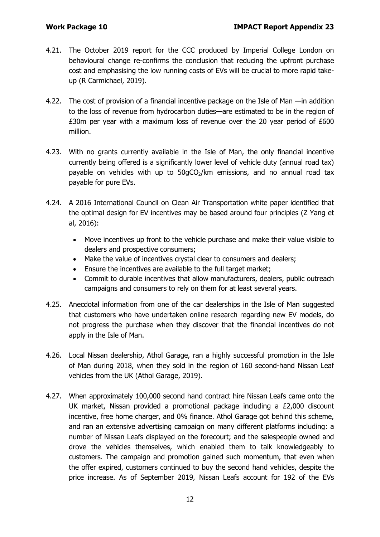- 4.21. The October 2019 report for the CCC produced by Imperial College London on behavioural change re-confirms the conclusion that reducing the upfront purchase cost and emphasising the low running costs of EVs will be crucial to more rapid takeup (R Carmichael, 2019).
- 4.22. The cost of provision of a financial incentive package on the Isle of Man —in addition to the loss of revenue from hydrocarbon duties—are estimated to be in the region of £30m per year with a maximum loss of revenue over the 20 year period of £600 million.
- 4.23. With no grants currently available in the Isle of Man, the only financial incentive currently being offered is a significantly lower level of vehicle duty (annual road tax) payable on vehicles with up to  $50gCO<sub>2</sub>/km$  emissions, and no annual road tax payable for pure EVs.
- 4.24. A 2016 International Council on Clean Air Transportation white paper identified that the optimal design for EV incentives may be based around four principles (Z Yang et al, 2016):
	- Move incentives up front to the vehicle purchase and make their value visible to dealers and prospective consumers;
	- Make the value of incentives crystal clear to consumers and dealers;
	- Ensure the incentives are available to the full target market;
	- Commit to durable incentives that allow manufacturers, dealers, public outreach campaigns and consumers to rely on them for at least several years.
- 4.25. Anecdotal information from one of the car dealerships in the Isle of Man suggested that customers who have undertaken online research regarding new EV models, do not progress the purchase when they discover that the financial incentives do not apply in the Isle of Man.
- 4.26. Local Nissan dealership, Athol Garage, ran a highly successful promotion in the Isle of Man during 2018, when they sold in the region of 160 second-hand Nissan Leaf vehicles from the UK (Athol Garage, 2019).
- 4.27. When approximately 100,000 second hand contract hire Nissan Leafs came onto the UK market, Nissan provided a promotional package including a £2,000 discount incentive, free home charger, and 0% finance. Athol Garage got behind this scheme, and ran an extensive advertising campaign on many different platforms including: a number of Nissan Leafs displayed on the forecourt; and the salespeople owned and drove the vehicles themselves, which enabled them to talk knowledgeably to customers. The campaign and promotion gained such momentum, that even when the offer expired, customers continued to buy the second hand vehicles, despite the price increase. As of September 2019, Nissan Leafs account for 192 of the EVs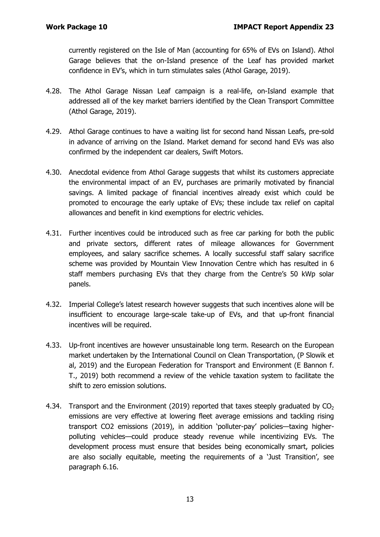currently registered on the Isle of Man (accounting for 65% of EVs on Island). Athol Garage believes that the on-Island presence of the Leaf has provided market confidence in EV's, which in turn stimulates sales (Athol Garage, 2019).

- 4.28. The Athol Garage Nissan Leaf campaign is a real-life, on-Island example that addressed all of the key market barriers identified by the Clean Transport Committee (Athol Garage, 2019).
- 4.29. Athol Garage continues to have a waiting list for second hand Nissan Leafs, pre-sold in advance of arriving on the Island. Market demand for second hand EVs was also confirmed by the independent car dealers, Swift Motors.
- 4.30. Anecdotal evidence from Athol Garage suggests that whilst its customers appreciate the environmental impact of an EV, purchases are primarily motivated by financial savings. A limited package of financial incentives already exist which could be promoted to encourage the early uptake of EVs; these include tax relief on capital allowances and benefit in kind exemptions for electric vehicles.
- 4.31. Further incentives could be introduced such as free car parking for both the public and private sectors, different rates of mileage allowances for Government employees, and salary sacrifice schemes. A locally successful staff salary sacrifice scheme was provided by Mountain View Innovation Centre which has resulted in 6 staff members purchasing EVs that they charge from the Centre's 50 kWp solar panels.
- 4.32. Imperial College's latest research however suggests that such incentives alone will be insufficient to encourage large-scale take-up of EVs, and that up-front financial incentives will be required.
- 4.33. Up-front incentives are however unsustainable long term. Research on the European market undertaken by the International Council on Clean Transportation, (P Slowik et al, 2019) and the European Federation for Transport and Environment (E Bannon f. T., 2019) both recommend a review of the vehicle taxation system to facilitate the shift to zero emission solutions.
- 4.34. Transport and the Environment (2019) reported that taxes steeply graduated by  $CO<sub>2</sub>$ emissions are very effective at lowering fleet average emissions and tackling rising transport CO2 emissions (2019), in addition 'polluter-pay' policies—taxing higherpolluting vehicles—could produce steady revenue while incentivizing EVs. The development process must ensure that besides being economically smart, policies are also socially equitable, meeting the requirements of a 'Just Transition', see paragraph 6.16.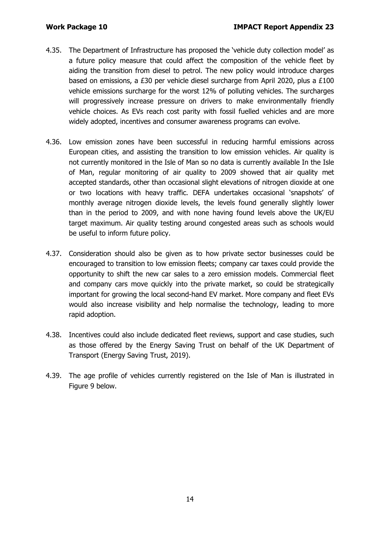- 4.35. The Department of Infrastructure has proposed the 'vehicle duty collection model' as a future policy measure that could affect the composition of the vehicle fleet by aiding the transition from diesel to petrol. The new policy would introduce charges based on emissions, a £30 per vehicle diesel surcharge from April 2020, plus a £100 vehicle emissions surcharge for the worst 12% of polluting vehicles. The surcharges will progressively increase pressure on drivers to make environmentally friendly vehicle choices. As EVs reach cost parity with fossil fuelled vehicles and are more widely adopted, incentives and consumer awareness programs can evolve.
- 4.36. Low emission zones have been successful in reducing harmful emissions across European cities, and assisting the transition to low emission vehicles. Air quality is not currently monitored in the Isle of Man so no data is currently available In the Isle of Man, regular monitoring of air quality to 2009 showed that air quality met accepted standards, other than occasional slight elevations of nitrogen dioxide at one or two locations with heavy traffic. DEFA undertakes occasional 'snapshots' of monthly average nitrogen dioxide levels, the levels found generally slightly lower than in the period to 2009, and with none having found levels above the UK/EU target maximum. Air quality testing around congested areas such as schools would be useful to inform future policy.
- 4.37. Consideration should also be given as to how private sector businesses could be encouraged to transition to low emission fleets; company car taxes could provide the opportunity to shift the new car sales to a zero emission models. Commercial fleet and company cars move quickly into the private market, so could be strategically important for growing the local second-hand EV market. More company and fleet EVs would also increase visibility and help normalise the technology, leading to more rapid adoption.
- 4.38. Incentives could also include dedicated fleet reviews, support and case studies, such as those offered by the Energy Saving Trust on behalf of the UK Department of Transport (Energy Saving Trust, 2019).
- 4.39. The age profile of vehicles currently registered on the Isle of Man is illustrated in Figure 9 below.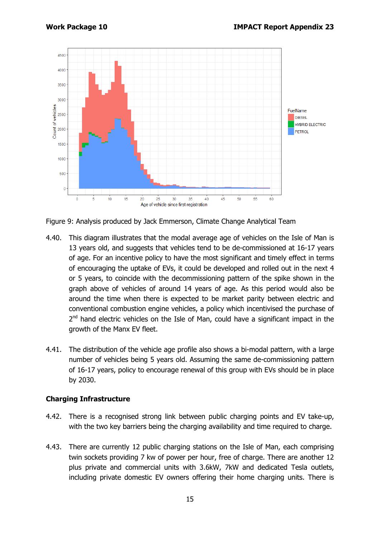

Figure 9: Analysis produced by Jack Emmerson, Climate Change Analytical Team

- 4.40. This diagram illustrates that the modal average age of vehicles on the Isle of Man is 13 years old, and suggests that vehicles tend to be de-commissioned at 16-17 years of age. For an incentive policy to have the most significant and timely effect in terms of encouraging the uptake of EVs, it could be developed and rolled out in the next 4 or 5 years, to coincide with the decommissioning pattern of the spike shown in the graph above of vehicles of around 14 years of age. As this period would also be around the time when there is expected to be market parity between electric and conventional combustion engine vehicles, a policy which incentivised the purchase of 2<sup>nd</sup> hand electric vehicles on the Isle of Man, could have a significant impact in the growth of the Manx EV fleet.
- 4.41. The distribution of the vehicle age profile also shows a bi-modal pattern, with a large number of vehicles being 5 years old. Assuming the same de-commissioning pattern of 16-17 years, policy to encourage renewal of this group with EVs should be in place by 2030.

#### **Charging Infrastructure**

- 4.42. There is a recognised strong link between public charging points and EV take-up, with the two key barriers being the charging availability and time required to charge.
- 4.43. There are currently 12 public charging stations on the Isle of Man, each comprising twin sockets providing 7 kw of power per hour, free of charge. There are another 12 plus private and commercial units with 3.6kW, 7kW and dedicated Tesla outlets, including private domestic EV owners offering their home charging units. There is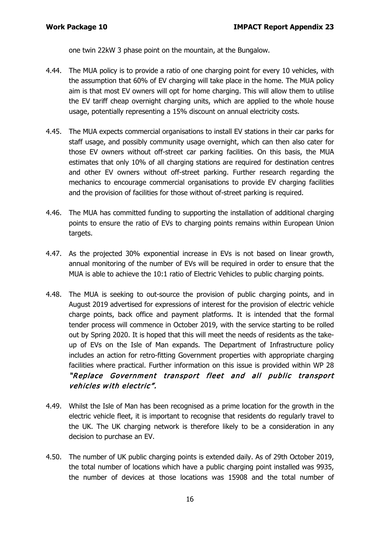one twin 22kW 3 phase point on the mountain, at the Bungalow.

- 4.44. The MUA policy is to provide a ratio of one charging point for every 10 vehicles, with the assumption that 60% of EV charging will take place in the home. The MUA policy aim is that most EV owners will opt for home charging. This will allow them to utilise the EV tariff cheap overnight charging units, which are applied to the whole house usage, potentially representing a 15% discount on annual electricity costs.
- 4.45. The MUA expects commercial organisations to install EV stations in their car parks for staff usage, and possibly community usage overnight, which can then also cater for those EV owners without off-street car parking facilities. On this basis, the MUA estimates that only 10% of all charging stations are required for destination centres and other EV owners without off-street parking. Further research regarding the mechanics to encourage commercial organisations to provide EV charging facilities and the provision of facilities for those without of-street parking is required.
- 4.46. The MUA has committed funding to supporting the installation of additional charging points to ensure the ratio of EVs to charging points remains within European Union targets.
- 4.47. As the projected 30% exponential increase in EVs is not based on linear growth, annual monitoring of the number of EVs will be required in order to ensure that the MUA is able to achieve the 10:1 ratio of Electric Vehicles to public charging points.
- 4.48. The MUA is seeking to out-source the provision of public charging points, and in August 2019 advertised for expressions of interest for the provision of electric vehicle charge points, back office and payment platforms. It is intended that the formal tender process will commence in October 2019, with the service starting to be rolled out by Spring 2020. It is hoped that this will meet the needs of residents as the takeup of EVs on the Isle of Man expands. The Department of Infrastructure policy includes an action for retro-fitting Government properties with appropriate charging facilities where practical. Further information on this issue is provided within WP 28 "Replace Government transport fleet and all public transport vehicles with electric".
- 4.49. Whilst the Isle of Man has been recognised as a prime location for the growth in the electric vehicle fleet, it is important to recognise that residents do regularly travel to the UK. The UK charging network is therefore likely to be a consideration in any decision to purchase an EV.
- 4.50. The number of UK public charging points is extended daily. As of 29th October 2019, the total number of locations which have a public charging point installed was 9935, the number of devices at those locations was 15908 and the total number of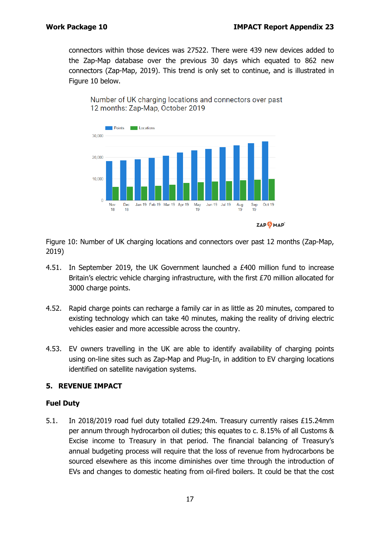connectors within those devices was 27522. There were 439 new devices added to the Zap-Map database over the previous 30 days which equated to 862 new connectors (Zap-Map, 2019). This trend is only set to continue, and is illustrated in Figure 10 below.





Figure 10: Number of UK charging locations and connectors over past 12 months (Zap-Map, 2019)

- 4.51. In September 2019, the UK Government launched a £400 million fund to increase Britain's electric vehicle charging infrastructure, with the first £70 million allocated for 3000 charge points.
- 4.52. Rapid charge points can recharge a family car in as little as 20 minutes, compared to existing technology which can take 40 minutes, making the reality of driving electric vehicles easier and more accessible across the country.
- 4.53. EV owners travelling in the UK are able to identify availability of charging points using on-line sites such as Zap-Map and Plug-In, in addition to EV charging locations identified on satellite navigation systems.

### **5. REVENUE IMPACT**

#### **Fuel Duty**

5.1. In 2018/2019 road fuel duty totalled £29.24m. Treasury currently raises £15.24mm per annum through hydrocarbon oil duties; this equates to c. 8.15% of all Customs & Excise income to Treasury in that period. The financial balancing of Treasury's annual budgeting process will require that the loss of revenue from hydrocarbons be sourced elsewhere as this income diminishes over time through the introduction of EVs and changes to domestic heating from oil-fired boilers. It could be that the cost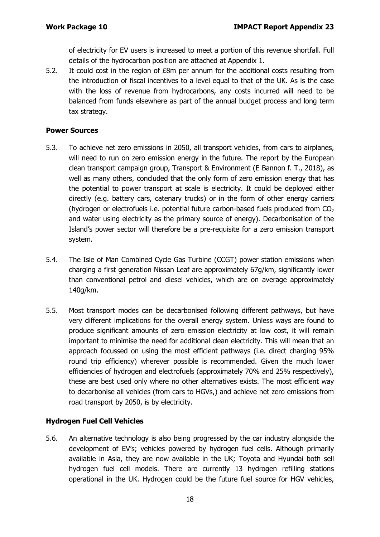of electricity for EV users is increased to meet a portion of this revenue shortfall. Full details of the hydrocarbon position are attached at Appendix 1.

5.2. It could cost in the region of £8m per annum for the additional costs resulting from the introduction of fiscal incentives to a level equal to that of the UK. As is the case with the loss of revenue from hydrocarbons, any costs incurred will need to be balanced from funds elsewhere as part of the annual budget process and long term tax strategy.

#### **Power Sources**

- 5.3. To achieve net zero emissions in 2050, all transport vehicles, from cars to airplanes, will need to run on zero emission energy in the future. The report by the European clean transport campaign group, Transport & Environment (E Bannon f. T., 2018), as well as many others, concluded that the only form of zero emission energy that has the potential to power transport at scale is electricity. It could be deployed either directly (e.g. battery cars, catenary trucks) or in the form of other energy carriers (hydrogen or electrofuels i.e. potential future carbon-based fuels produced from  $CO<sub>2</sub>$ and water using electricity as the primary source of energy). Decarbonisation of the Island's power sector will therefore be a pre-requisite for a zero emission transport system.
- 5.4. The Isle of Man Combined Cycle Gas Turbine (CCGT) power station emissions when charging a first generation Nissan Leaf are approximately 67g/km, significantly lower than conventional petrol and diesel vehicles, which are on average approximately 140g/km.
- 5.5. Most transport modes can be decarbonised following different pathways, but have very different implications for the overall energy system. Unless ways are found to produce significant amounts of zero emission electricity at low cost, it will remain important to minimise the need for additional clean electricity. This will mean that an approach focussed on using the most efficient pathways (i.e. direct charging 95% round trip efficiency) wherever possible is recommended. Given the much lower efficiencies of hydrogen and electrofuels (approximately 70% and 25% respectively), these are best used only where no other alternatives exists. The most efficient way to decarbonise all vehicles (from cars to HGVs,) and achieve net zero emissions from road transport by 2050, is by electricity.

### **Hydrogen Fuel Cell Vehicles**

5.6. An alternative technology is also being progressed by the car industry alongside the development of EV's; vehicles powered by hydrogen fuel cells. Although primarily available in Asia, they are now available in the UK; Toyota and Hyundai both sell hydrogen fuel cell models. There are currently 13 hydrogen refilling stations operational in the UK. Hydrogen could be the future fuel source for HGV vehicles,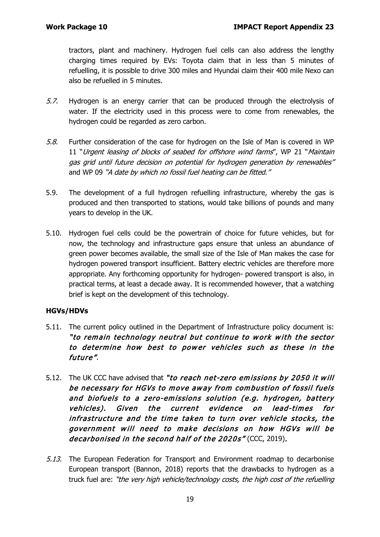tractors, plant and machinery. Hydrogen fuel cells can also address the lengthy charging times required by EVs: Toyota claim that in less than 5 minutes of refuelling, it is possible to drive 300 miles and Hyundai claim their 400 mile Nexo can also be refuelled in 5 minutes.

- 5.7. Hydrogen is an energy carrier that can be produced through the electrolysis of water. If the electricity used in this process were to come from renewables, the hydrogen could be regarded as zero carbon.
- 5.8. Further consideration of the case for hydrogen on the Isle of Man is covered in WP 11 "Urgent leasing of blocks of seabed for offshore wind farms", WP 21 "Maintain gas grid until future decision on potential for hydrogen generation by renewables" and WP 09 "A date by which no fossil fuel heating can be fitted."
- 5.9. The development of a full hydrogen refuelling infrastructure, whereby the gas is produced and then transported to stations, would take billions of pounds and many years to develop in the UK.
- 5.10. Hydrogen fuel cells could be the powertrain of choice for future vehicles, but for now, the technology and infrastructure gaps ensure that unless an abundance of green power becomes available, the small size of the Isle of Man makes the case for hydrogen powered transport insufficient. Battery electric vehicles are therefore more appropriate. Any forthcoming opportunity for hydrogen- powered transport is also, in practical terms, at least a decade away. It is recommended however, that a watching brief is kept on the development of this technology.

### **HGVs/HDVs**

- 5.11. The current policy outlined in the Department of Infrastructure policy document is: "to remain technology neutral but continue to work with the sector to determine how best to power vehicles such as these in the future".
- 5.12. The UK CCC have advised that "to reach net-zero emissions by 2050 it will be necessary for HGVs to move away from combustion of fossil fuels and biofuels to a zero-emissions solution (e.g. hydrogen, battery vehicles). Given the current evidence on lead-times for infrastructure and the time taken to turn over vehicle stocks, the government will need to make decisions on how HGVs will be decarbonised in the second half of the 2020s" (CCC, 2019).
- 5.13. The European Federation for Transport and Environment roadmap to decarbonise European transport (Bannon, 2018) reports that the drawbacks to hydrogen as a truck fuel are: "the very high vehicle/technology costs, the high cost of the refuelling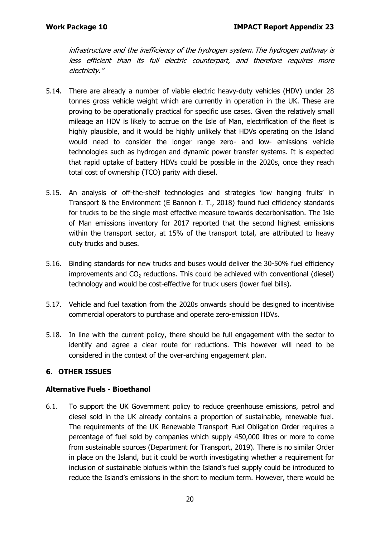infrastructure and the inefficiency of the hydrogen system. The hydrogen pathway is less efficient than its full electric counterpart, and therefore requires more electricity."

- 5.14. There are already a number of viable electric heavy-duty vehicles (HDV) under 28 tonnes gross vehicle weight which are currently in operation in the UK. These are proving to be operationally practical for specific use cases. Given the relatively small mileage an HDV is likely to accrue on the Isle of Man, electrification of the fleet is highly plausible, and it would be highly unlikely that HDVs operating on the Island would need to consider the longer range zero- and low- emissions vehicle technologies such as hydrogen and dynamic power transfer systems. It is expected that rapid uptake of battery HDVs could be possible in the 2020s, once they reach total cost of ownership (TCO) parity with diesel.
- 5.15. An analysis of off-the-shelf technologies and strategies 'low hanging fruits' in Transport & the Environment (E Bannon f. T., 2018) found fuel efficiency standards for trucks to be the single most effective measure towards decarbonisation. The Isle of Man emissions inventory for 2017 reported that the second highest emissions within the transport sector, at 15% of the transport total, are attributed to heavy duty trucks and buses.
- 5.16. Binding standards for new trucks and buses would deliver the 30-50% fuel efficiency improvements and  $CO<sub>2</sub>$  reductions. This could be achieved with conventional (diesel) technology and would be cost-effective for truck users (lower fuel bills).
- 5.17. Vehicle and fuel taxation from the 2020s onwards should be designed to incentivise commercial operators to purchase and operate zero-emission HDVs.
- 5.18. In line with the current policy, there should be full engagement with the sector to identify and agree a clear route for reductions. This however will need to be considered in the context of the over-arching engagement plan.

### **6. OTHER ISSUES**

#### **Alternative Fuels - Bioethanol**

6.1. To support the UK Government policy to reduce greenhouse emissions, petrol and diesel sold in the UK already contains a proportion of sustainable, renewable fuel. The requirements of the UK Renewable Transport Fuel Obligation Order requires a percentage of fuel sold by companies which supply 450,000 litres or more to come from sustainable sources (Department for Transport, 2019). There is no similar Order in place on the Island, but it could be worth investigating whether a requirement for inclusion of sustainable biofuels within the Island's fuel supply could be introduced to reduce the Island's emissions in the short to medium term. However, there would be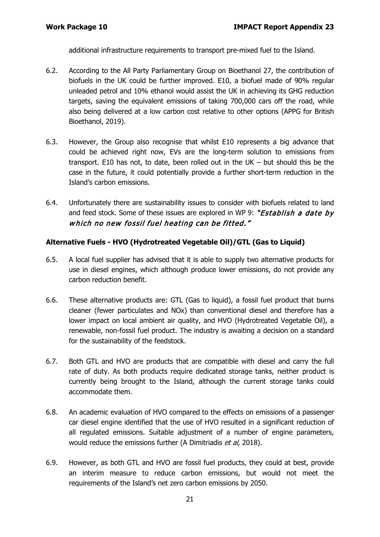additional infrastructure requirements to transport pre-mixed fuel to the Island.

- 6.2. According to the All Party Parliamentary Group on Bioethanol 27, the contribution of biofuels in the UK could be further improved. E10, a biofuel made of 90% regular unleaded petrol and 10% ethanol would assist the UK in achieving its GHG reduction targets, saving the equivalent emissions of taking 700,000 cars off the road, while also being delivered at a low carbon cost relative to other options (APPG for British Bioethanol, 2019).
- 6.3. However, the Group also recognise that whilst E10 represents a big advance that could be achieved right now, EVs are the long-term solution to emissions from transport. E10 has not, to date, been rolled out in the UK – but should this be the case in the future, it could potentially provide a further short-term reduction in the Island's carbon emissions.
- 6.4. Unfortunately there are sustainability issues to consider with biofuels related to land and feed stock. Some of these issues are explored in WP 9: "Establish a date by which no new fossil fuel heating can be fitted."

#### **Alternative Fuels - HVO (Hydrotreated Vegetable Oil)/GTL (Gas to Liquid)**

- 6.5. A local fuel supplier has advised that it is able to supply two alternative products for use in diesel engines, which although produce lower emissions, do not provide any carbon reduction benefit.
- 6.6. These alternative products are: GTL (Gas to liquid), a fossil fuel product that burns cleaner (fewer particulates and NOx) than conventional diesel and therefore has a lower impact on local ambient air quality, and HVO (Hydrotreated Vegetable Oil), a renewable, non-fossil fuel product. The industry is awaiting a decision on a standard for the sustainability of the feedstock.
- 6.7. Both GTL and HVO are products that are compatible with diesel and carry the full rate of duty. As both products require dedicated storage tanks, neither product is currently being brought to the Island, although the current storage tanks could accommodate them.
- 6.8. An academic evaluation of HVO compared to the effects on emissions of a passenger car diesel engine identified that the use of HVO resulted in a significant reduction of all regulated emissions. Suitable adjustment of a number of engine parameters, would reduce the emissions further (A Dimitriadis et al, 2018).
- 6.9. However, as both GTL and HVO are fossil fuel products, they could at best, provide an interim measure to reduce carbon emissions, but would not meet the requirements of the Island's net zero carbon emissions by 2050.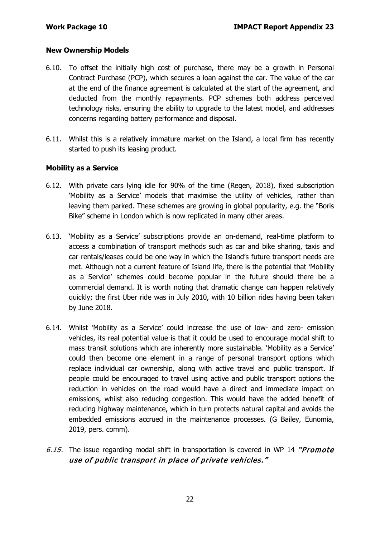#### **New Ownership Models**

- 6.10. To offset the initially high cost of purchase, there may be a growth in Personal Contract Purchase (PCP), which secures a loan against the car. The value of the car at the end of the finance agreement is calculated at the start of the agreement, and deducted from the monthly repayments. PCP schemes both address perceived technology risks, ensuring the ability to upgrade to the latest model, and addresses concerns regarding battery performance and disposal.
- 6.11. Whilst this is a relatively immature market on the Island, a local firm has recently started to push its leasing product.

#### **Mobility as a Service**

- 6.12. With private cars lying idle for 90% of the time (Regen, 2018), fixed subscription 'Mobility as a Service' models that maximise the utility of vehicles, rather than leaving them parked. These schemes are growing in global popularity, e.g. the "Boris Bike" scheme in London which is now replicated in many other areas.
- 6.13. 'Mobility as a Service' subscriptions provide an on-demand, real-time platform to access a combination of transport methods such as car and bike sharing, taxis and car rentals/leases could be one way in which the Island's future transport needs are met. Although not a current feature of Island life, there is the potential that 'Mobility as a Service' schemes could become popular in the future should there be a commercial demand. It is worth noting that dramatic change can happen relatively quickly; the first Uber ride was in July 2010, with 10 billion rides having been taken by June 2018.
- 6.14. Whilst 'Mobility as a Service' could increase the use of low- and zero- emission vehicles, its real potential value is that it could be used to encourage modal shift to mass transit solutions which are inherently more sustainable. 'Mobility as a Service' could then become one element in a range of personal transport options which replace individual car ownership, along with active travel and public transport. If people could be encouraged to travel using active and public transport options the reduction in vehicles on the road would have a direct and immediate impact on emissions, whilst also reducing congestion. This would have the added benefit of reducing highway maintenance, which in turn protects natural capital and avoids the embedded emissions accrued in the maintenance processes. (G Bailey, Eunomia, 2019, pers. comm).
- 6.15. The issue regarding modal shift in transportation is covered in WP 14 "*Promote* use of public transport in place of private vehicles."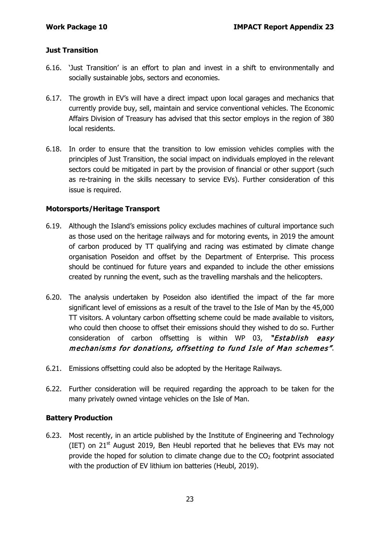#### **Just Transition**

- 6.16. 'Just Transition' is an effort to plan and invest in a shift to environmentally and socially sustainable jobs, sectors and economies.
- 6.17. The growth in EV's will have a direct impact upon local garages and mechanics that currently provide buy, sell, maintain and service conventional vehicles. The Economic Affairs Division of Treasury has advised that this sector employs in the region of 380 local residents.
- 6.18. In order to ensure that the transition to low emission vehicles complies with the principles of Just Transition, the social impact on individuals employed in the relevant sectors could be mitigated in part by the provision of financial or other support (such as re-training in the skills necessary to service EVs). Further consideration of this issue is required.

#### **Motorsports/Heritage Transport**

- 6.19. Although the Island's emissions policy excludes machines of cultural importance such as those used on the heritage railways and for motoring events, in 2019 the amount of carbon produced by TT qualifying and racing was estimated by climate change organisation Poseidon and offset by the Department of Enterprise. This process should be continued for future years and expanded to include the other emissions created by running the event, such as the travelling marshals and the helicopters.
- 6.20. The analysis undertaken by Poseidon also identified the impact of the far more significant level of emissions as a result of the travel to the Isle of Man by the 45,000 TT visitors. A voluntary carbon offsetting scheme could be made available to visitors, who could then choose to offset their emissions should they wished to do so. Further consideration of carbon offsetting is within WP 03, "Establish easy mechanisms for donations, offsetting to fund Isle of Man schemes".
- 6.21. Emissions offsetting could also be adopted by the Heritage Railways.
- 6.22. Further consideration will be required regarding the approach to be taken for the many privately owned vintage vehicles on the Isle of Man.

#### **Battery Production**

6.23. Most recently, in an article published by the Institute of Engineering and Technology (IET) on  $21^{st}$  August 2019, Ben Heubl reported that he believes that EVs may not provide the hoped for solution to climate change due to the  $CO<sub>2</sub>$  footprint associated with the production of EV lithium ion batteries (Heubl, 2019).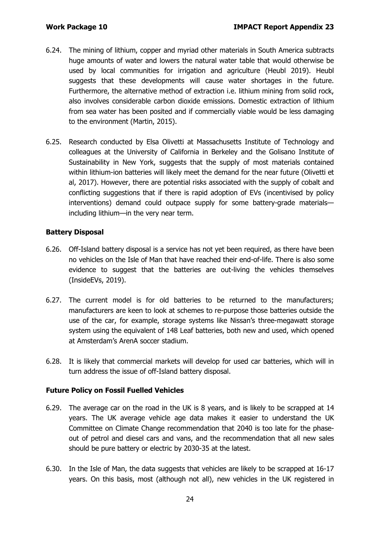- 6.24. The mining of lithium, copper and myriad other materials in South America subtracts huge amounts of water and lowers the natural water table that would otherwise be used by local communities for irrigation and agriculture (Heubl 2019). Heubl suggests that these developments will cause water shortages in the future. Furthermore, the alternative method of extraction i.e. lithium mining from solid rock, also involves considerable carbon dioxide emissions. Domestic extraction of lithium from sea water has been posited and if commercially viable would be less damaging to the environment (Martin, 2015).
- 6.25. Research conducted by Elsa Olivetti at Massachusetts Institute of Technology and colleagues at the University of California in Berkeley and the Golisano Institute of Sustainability in New York, suggests that the supply of most materials contained within lithium-ion batteries will likely meet the demand for the near future (Olivetti et al, 2017). However, there are potential risks associated with the supply of cobalt and conflicting suggestions that if there is rapid adoption of EVs (incentivised by policy interventions) demand could outpace supply for some battery-grade materials including lithium—in the very near term.

#### **Battery Disposal**

- 6.26. Off-Island battery disposal is a service has not yet been required, as there have been no vehicles on the Isle of Man that have reached their end-of-life. There is also some evidence to suggest that the batteries are out-living the vehicles themselves (InsideEVs, 2019).
- 6.27. The current model is for old batteries to be returned to the manufacturers; manufacturers are keen to look at schemes to re-purpose those batteries outside the use of the car, for example, storage systems like Nissan's three-megawatt storage system using the equivalent of 148 Leaf batteries, both new and used, which opened at Amsterdam's ArenA soccer stadium.
- 6.28. It is likely that commercial markets will develop for used car batteries, which will in turn address the issue of off-Island battery disposal.

#### **Future Policy on Fossil Fuelled Vehicles**

- 6.29. The average car on the road in the UK is 8 years, and is likely to be scrapped at 14 years. The UK average vehicle age data makes it easier to understand the UK Committee on Climate Change recommendation that 2040 is too late for the phaseout of petrol and diesel cars and vans, and the recommendation that all new sales should be pure battery or electric by 2030-35 at the latest.
- 6.30. In the Isle of Man, the data suggests that vehicles are likely to be scrapped at 16-17 years. On this basis, most (although not all), new vehicles in the UK registered in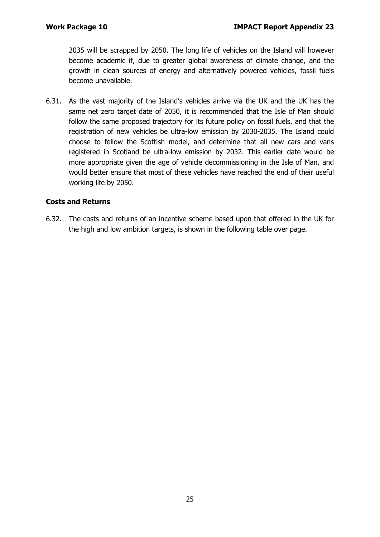2035 will be scrapped by 2050. The long life of vehicles on the Island will however become academic if, due to greater global awareness of climate change, and the growth in clean sources of energy and alternatively powered vehicles, fossil fuels become unavailable.

6.31. As the vast majority of the Island's vehicles arrive via the UK and the UK has the same net zero target date of 2050, it is recommended that the Isle of Man should follow the same proposed trajectory for its future policy on fossil fuels, and that the registration of new vehicles be ultra-low emission by 2030-2035. The Island could choose to follow the Scottish model, and determine that all new cars and vans registered in Scotland be ultra-low emission by 2032. This earlier date would be more appropriate given the age of vehicle decommissioning in the Isle of Man, and would better ensure that most of these vehicles have reached the end of their useful working life by 2050.

### **Costs and Returns**

6.32. The costs and returns of an incentive scheme based upon that offered in the UK for the high and low ambition targets, is shown in the following table over page.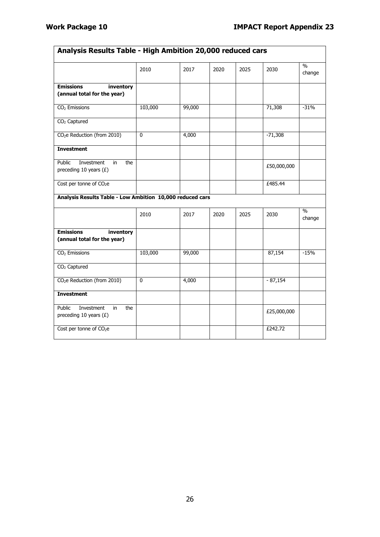| Analysis Results Table - High Ambition 20,000 reduced cars    |              |        |      |      |             |                         |
|---------------------------------------------------------------|--------------|--------|------|------|-------------|-------------------------|
|                                                               | 2010         | 2017   | 2020 | 2025 | 2030        | $\frac{0}{0}$<br>change |
| <b>Emissions</b><br>inventory<br>(annual total for the year)  |              |        |      |      |             |                         |
| $CO2$ Emissions                                               | 103,000      | 99,000 |      |      | 71,308      | $-31%$                  |
| $CO2$ Captured                                                |              |        |      |      |             |                         |
| CO <sub>2</sub> e Reduction (from 2010)                       | $\mathbf{0}$ | 4,000  |      |      | $-71,308$   |                         |
| <b>Investment</b>                                             |              |        |      |      |             |                         |
| Public<br>Investment<br>the<br>in<br>preceding 10 years $(E)$ |              |        |      |      | £50,000,000 |                         |
| Cost per tonne of CO <sub>2</sub> e                           |              |        |      |      | £485.44     |                         |
| Analysis Results Table - Low Ambition 10,000 reduced cars     |              |        |      |      |             |                         |
|                                                               | 2010         | 2017   | 2020 | 2025 | 2030        | $\%$<br>change          |
| <b>Emissions</b><br>inventory<br>(annual total for the year)  |              |        |      |      |             |                         |
| $CO2$ Emissions                                               | 103,000      | 99,000 |      |      | 87,154      | $-15%$                  |
| $CO2$ Captured                                                |              |        |      |      |             |                         |
| CO <sub>2</sub> e Reduction (from 2010)                       | 0            | 4,000  |      |      | $-87,154$   |                         |
| <b>Investment</b>                                             |              |        |      |      |             |                         |
| the<br>Public<br>Investment<br>in<br>preceding 10 years $(E)$ |              |        |      |      | £25,000,000 |                         |
| Cost per tonne of $CO2e$                                      |              |        |      |      | £242.72     |                         |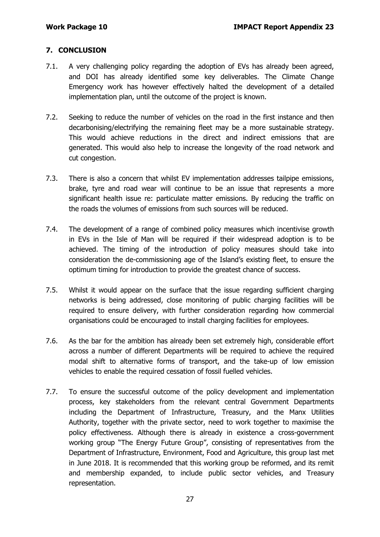### **7. CONCLUSION**

- 7.1. A very challenging policy regarding the adoption of EVs has already been agreed, and DOI has already identified some key deliverables. The Climate Change Emergency work has however effectively halted the development of a detailed implementation plan, until the outcome of the project is known.
- 7.2. Seeking to reduce the number of vehicles on the road in the first instance and then decarbonising/electrifying the remaining fleet may be a more sustainable strategy. This would achieve reductions in the direct and indirect emissions that are generated. This would also help to increase the longevity of the road network and cut congestion.
- 7.3. There is also a concern that whilst EV implementation addresses tailpipe emissions, brake, tyre and road wear will continue to be an issue that represents a more significant health issue re: particulate matter emissions. By reducing the traffic on the roads the volumes of emissions from such sources will be reduced.
- 7.4. The development of a range of combined policy measures which incentivise growth in EVs in the Isle of Man will be required if their widespread adoption is to be achieved. The timing of the introduction of policy measures should take into consideration the de-commissioning age of the Island's existing fleet, to ensure the optimum timing for introduction to provide the greatest chance of success.
- 7.5. Whilst it would appear on the surface that the issue regarding sufficient charging networks is being addressed, close monitoring of public charging facilities will be required to ensure delivery, with further consideration regarding how commercial organisations could be encouraged to install charging facilities for employees.
- 7.6. As the bar for the ambition has already been set extremely high, considerable effort across a number of different Departments will be required to achieve the required modal shift to alternative forms of transport, and the take-up of low emission vehicles to enable the required cessation of fossil fuelled vehicles.
- 7.7. To ensure the successful outcome of the policy development and implementation process, key stakeholders from the relevant central Government Departments including the Department of Infrastructure, Treasury, and the Manx Utilities Authority, together with the private sector, need to work together to maximise the policy effectiveness. Although there is already in existence a cross-government working group "The Energy Future Group", consisting of representatives from the Department of Infrastructure, Environment, Food and Agriculture, this group last met in June 2018. It is recommended that this working group be reformed, and its remit and membership expanded, to include public sector vehicles, and Treasury representation.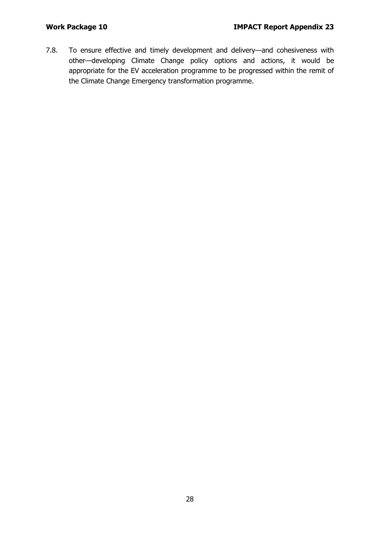7.8. To ensure effective and timely development and delivery—and cohesiveness with other—developing Climate Change policy options and actions, it would be appropriate for the EV acceleration programme to be progressed within the remit of the Climate Change Emergency transformation programme.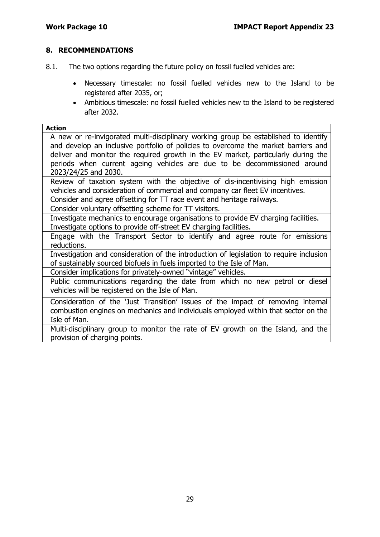#### **8. RECOMMENDATIONS**

- 8.1. The two options regarding the future policy on fossil fuelled vehicles are:
	- Necessary timescale: no fossil fuelled vehicles new to the Island to be registered after 2035, or;
	- Ambitious timescale: no fossil fuelled vehicles new to the Island to be registered after 2032.

#### **Action**

A new or re-invigorated multi-disciplinary working group be established to identify and develop an inclusive portfolio of policies to overcome the market barriers and deliver and monitor the required growth in the EV market, particularly during the periods when current ageing vehicles are due to be decommissioned around 2023/24/25 and 2030.

Review of taxation system with the objective of dis-incentivising high emission vehicles and consideration of commercial and company car fleet EV incentives.

Consider and agree offsetting for TT race event and heritage railways.

Consider voluntary offsetting scheme for TT visitors.

Investigate mechanics to encourage organisations to provide EV charging facilities. Investigate options to provide off-street EV charging facilities.

Engage with the Transport Sector to identify and agree route for emissions reductions.

Investigation and consideration of the introduction of legislation to require inclusion of sustainably sourced biofuels in fuels imported to the Isle of Man.

Consider implications for privately-owned "vintage" vehicles.

Public communications regarding the date from which no new petrol or diesel vehicles will be registered on the Isle of Man.

Consideration of the 'Just Transition' issues of the impact of removing internal combustion engines on mechanics and individuals employed within that sector on the Isle of Man.

Multi-disciplinary group to monitor the rate of EV growth on the Island, and the provision of charging points.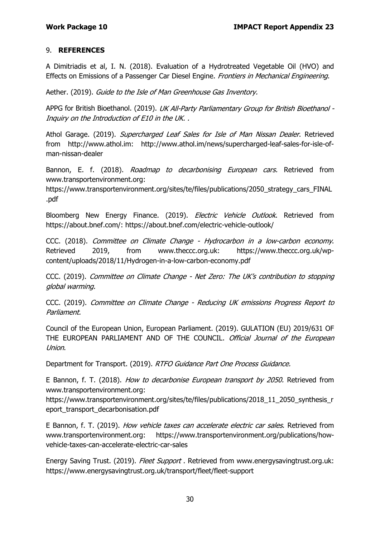#### 9. **REFERENCES**

A Dimitriadis et al, I. N. (2018). Evaluation of a Hydrotreated Vegetable Oil (HVO) and Effects on Emissions of a Passenger Car Diesel Engine. Frontiers in Mechanical Engineering.

Aether. (2019). Guide to the Isle of Man Greenhouse Gas Inventory.

APPG for British Bioethanol. (2019). UK All-Party Parliamentary Group for British Bioethanol -Inquiry on the Introduction of E10 in the UK. .

Athol Garage. (2019). Supercharged Leaf Sales for Isle of Man Nissan Dealer. Retrieved from http://www.athol.im: http://www.athol.im/news/supercharged-leaf-sales-for-isle-ofman-nissan-dealer

Bannon, E. f. (2018). Roadmap to decarbonising European cars. Retrieved from www.transportenvironment.org:

https://www.transportenvironment.org/sites/te/files/publications/2050\_strategy\_cars\_FINAL .pdf

Bloomberg New Energy Finance. (2019). Electric Vehicle Outlook. Retrieved from https://about.bnef.com/: https://about.bnef.com/electric-vehicle-outlook/

CCC. (2018). Committee on Climate Change - Hydrocarbon in a low-carbon economy. Retrieved 2019, from www.theccc.org.uk: https://www.theccc.org.uk/wpcontent/uploads/2018/11/Hydrogen-in-a-low-carbon-economy.pdf

CCC. (2019). Committee on Climate Change - Net Zero: The UK's contribution to stopping global warming.

CCC. (2019). Committee on Climate Change - Reducing UK emissions Progress Report to Parliament.

Council of the European Union, European Parliament. (2019). GULATION (EU) 2019/631 OF THE EUROPEAN PARLIAMENT AND OF THE COUNCIL. Official Journal of the European Union.

Department for Transport. (2019). RTFO Guidance Part One Process Guidance.

E Bannon, f. T. (2018). How to decarbonise European transport by 2050. Retrieved from www.transportenvironment.org:

https://www.transportenvironment.org/sites/te/files/publications/2018\_11\_2050\_synthesis\_r eport\_transport\_decarbonisation.pdf

E Bannon, f. T. (2019). How vehicle taxes can accelerate electric car sales. Retrieved from www.transportenvironment.org: https://www.transportenvironment.org/publications/howvehicle-taxes-can-accelerate-electric-car-sales

Energy Saving Trust. (2019). Fleet Support. Retrieved from www.energysavingtrust.org.uk: https://www.energysavingtrust.org.uk/transport/fleet/fleet-support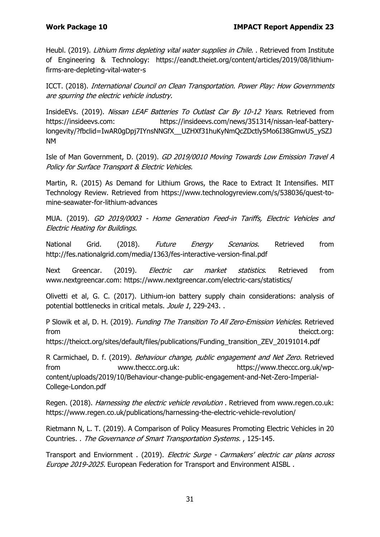Heubl. (2019). Lithium firms depleting vital water supplies in Chile. . Retrieved from Institute of Engineering & Technology: https://eandt.theiet.org/content/articles/2019/08/lithiumfirms-are-depleting-vital-water-s

ICCT. (2018). International Council on Clean Transportation. Power Play: How Governments are spurring the electric vehicle industry.

InsideEVs. (2019). Nissan LEAF Batteries To Outlast Car By 10-12 Years. Retrieved from https://insideevs.com: https://insideevs.com/news/351314/nissan-leaf-batterylongevity/?fbclid=IwAR0gDpj7IYnsNNGfX\_\_UZHXf31huKyNmQcZDctly5Mo6I38GmwU5\_ySZJ NM

Isle of Man Government, D. (2019). GD 2019/0010 Moving Towards Low Emission Travel A Policy for Surface Transport & Electric Vehicles.

Martin, R. (2015) As Demand for Lithium Grows, the Race to Extract It Intensifies. MIT Technology Review. Retrieved from https://www.technologyreview.com/s/538036/quest-tomine-seawater-for-lithium-advances

MUA. (2019). GD 2019/0003 - Home Generation Feed-in Tariffs, Electric Vehicles and Electric Heating for Buildings.

National Grid. (2018). Future Energy Scenarios. Retrieved from http://fes.nationalgrid.com/media/1363/fes-interactive-version-final.pdf

Next Greencar. (2019). *Electric car market statistics*. Retrieved from www.nextgreencar.com: https://www.nextgreencar.com/electric-cars/statistics/

Olivetti et al, G. C. (2017). Lithium-ion battery supply chain considerations: analysis of potential bottlenecks in critical metals. Joule 1, 229-243. .

P Slowik et al, D. H. (2019). Funding The Transition To All Zero-Emission Vehicles. Retrieved from theicct.org:

https://theicct.org/sites/default/files/publications/Funding\_transition\_ZEV\_20191014.pdf

R Carmichael, D. f. (2019). Behaviour change, public engagement and Net Zero. Retrieved from www.theccc.org.uk: https://www.theccc.org.uk/wpcontent/uploads/2019/10/Behaviour-change-public-engagement-and-Net-Zero-Imperial-College-London.pdf

Regen. (2018). *Harnessing the electric vehicle revolution*. Retrieved from www.regen.co.uk: https://www.regen.co.uk/publications/harnessing-the-electric-vehicle-revolution/

Rietmann N, L. T. (2019). A Comparison of Policy Measures Promoting Electric Vehicles in 20 Countries. . The Governance of Smart Transportation Systems. , 125-145.

Transport and Enviornment . (2019). Electric Surge - Carmakers' electric car plans across Europe 2019-2025. European Federation for Transport and Environment AISBL.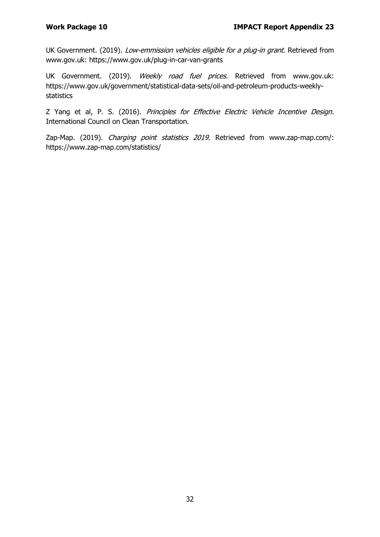UK Government. (2019). Low-emmission vehicles eligible for a plug-in grant. Retrieved from www.gov.uk: https://www.gov.uk/plug-in-car-van-grants

UK Government. (2019). Weekly road fuel prices. Retrieved from www.gov.uk: https://www.gov.uk/government/statistical-data-sets/oil-and-petroleum-products-weeklystatistics

Z Yang et al, P. S. (2016). Principles for Effective Electric Vehicle Incentive Design. International Council on Clean Transportation.

Zap-Map. (2019). *Charging point statistics 2019*. Retrieved from www.zap-map.com/: https://www.zap-map.com/statistics/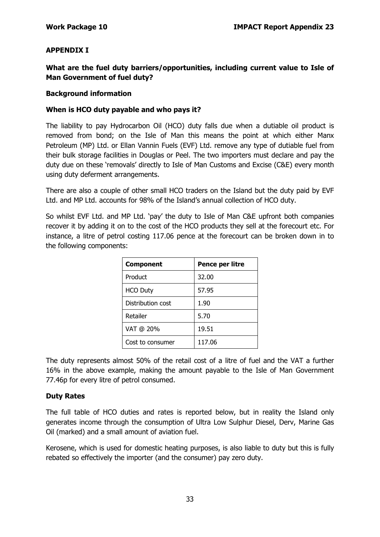#### **APPENDIX I**

**What are the fuel duty barriers/opportunities, including current value to Isle of Man Government of fuel duty?**

#### **Background information**

#### **When is HCO duty payable and who pays it?**

The liability to pay Hydrocarbon Oil (HCO) duty falls due when a dutiable oil product is removed from bond; on the Isle of Man this means the point at which either Manx Petroleum (MP) Ltd. or Ellan Vannin Fuels (EVF) Ltd. remove any type of dutiable fuel from their bulk storage facilities in Douglas or Peel. The two importers must declare and pay the duty due on these 'removals' directly to Isle of Man Customs and Excise (C&E) every month using duty deferment arrangements.

There are also a couple of other small HCO traders on the Island but the duty paid by EVF Ltd. and MP Ltd. accounts for 98% of the Island's annual collection of HCO duty.

So whilst EVF Ltd. and MP Ltd. 'pay' the duty to Isle of Man C&E upfront both companies recover it by adding it on to the cost of the HCO products they sell at the forecourt etc. For instance, a litre of petrol costing 117.06 pence at the forecourt can be broken down in to the following components:

| <b>Component</b>  | Pence per litre |
|-------------------|-----------------|
| Product           | 32.00           |
| <b>HCO Duty</b>   | 57.95           |
| Distribution cost | 1.90            |
| Retailer          | 5.70            |
| VAT @ 20%         | 19.51           |
| Cost to consumer  | 117.06          |

The duty represents almost 50% of the retail cost of a litre of fuel and the VAT a further 16% in the above example, making the amount payable to the Isle of Man Government 77.46p for every litre of petrol consumed.

#### **Duty Rates**

The full table of HCO duties and rates is reported below, but in reality the Island only generates income through the consumption of Ultra Low Sulphur Diesel, Derv, Marine Gas Oil (marked) and a small amount of aviation fuel.

Kerosene, which is used for domestic heating purposes, is also liable to duty but this is fully rebated so effectively the importer (and the consumer) pay zero duty.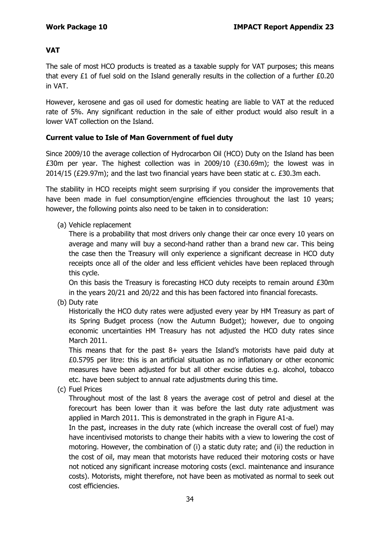#### **VAT**

The sale of most HCO products is treated as a taxable supply for VAT purposes; this means that every £1 of fuel sold on the Island generally results in the collection of a further £0.20 in VAT.

However, kerosene and gas oil used for domestic heating are liable to VAT at the reduced rate of 5%. Any significant reduction in the sale of either product would also result in a lower VAT collection on the Island.

#### **Current value to Isle of Man Government of fuel duty**

Since 2009/10 the average collection of Hydrocarbon Oil (HCO) Duty on the Island has been £30m per year. The highest collection was in 2009/10 (£30.69m); the lowest was in 2014/15 (£29.97m); and the last two financial years have been static at c. £30.3m each.

The stability in HCO receipts might seem surprising if you consider the improvements that have been made in fuel consumption/engine efficiencies throughout the last 10 years; however, the following points also need to be taken in to consideration:

(a) Vehicle replacement

There is a probability that most drivers only change their car once every 10 years on average and many will buy a second-hand rather than a brand new car. This being the case then the Treasury will only experience a significant decrease in HCO duty receipts once all of the older and less efficient vehicles have been replaced through this cycle.

On this basis the Treasury is forecasting HCO duty receipts to remain around £30m in the years 20/21 and 20/22 and this has been factored into financial forecasts.

(b) Duty rate

Historically the HCO duty rates were adjusted every year by HM Treasury as part of its Spring Budget process (now the Autumn Budget); however, due to ongoing economic uncertainties HM Treasury has not adjusted the HCO duty rates since March 2011.

This means that for the past 8+ years the Island's motorists have paid duty at £0.5795 per litre: this is an artificial situation as no inflationary or other economic measures have been adjusted for but all other excise duties e.g. alcohol, tobacco etc. have been subject to annual rate adjustments during this time.

(c) Fuel Prices

Throughout most of the last 8 years the average cost of petrol and diesel at the forecourt has been lower than it was before the last duty rate adjustment was applied in March 2011. This is demonstrated in the graph in Figure A1-a.

In the past, increases in the duty rate (which increase the overall cost of fuel) may have incentivised motorists to change their habits with a view to lowering the cost of motoring. However, the combination of (i) a static duty rate; and (ii) the reduction in the cost of oil, may mean that motorists have reduced their motoring costs or have not noticed any significant increase motoring costs (excl. maintenance and insurance costs). Motorists, might therefore, not have been as motivated as normal to seek out cost efficiencies.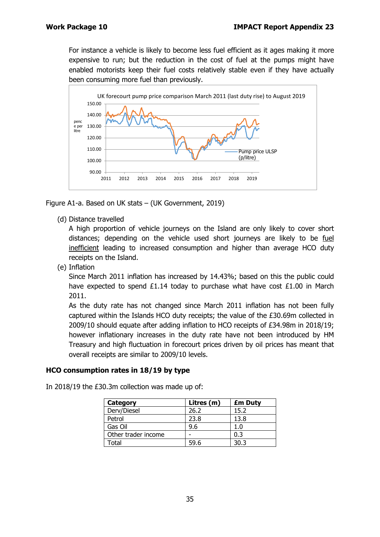For instance a vehicle is likely to become less fuel efficient as it ages making it more expensive to run; but the reduction in the cost of fuel at the pumps might have enabled motorists keep their fuel costs relatively stable even if they have actually been consuming more fuel than previously.



Figure A1-a. Based on UK stats – (UK Government, 2019)

(d) Distance travelled

A high proportion of vehicle journeys on the Island are only likely to cover short distances; depending on the vehicle used short journeys are likely to be fuel inefficient leading to increased consumption and higher than average HCO duty receipts on the Island.

(e) Inflation

Since March 2011 inflation has increased by 14.43%; based on this the public could have expected to spend £1.14 today to purchase what have cost £1.00 in March 2011.

As the duty rate has not changed since March 2011 inflation has not been fully captured within the Islands HCO duty receipts; the value of the £30.69m collected in 2009/10 should equate after adding inflation to HCO receipts of £34.98m in 2018/19; however inflationary increases in the duty rate have not been introduced by HM Treasury and high fluctuation in forecourt prices driven by oil prices has meant that overall receipts are similar to 2009/10 levels.

#### **HCO consumption rates in 18/19 by type**

| Category            | Litres (m) | <b>£m Duty</b> |
|---------------------|------------|----------------|
| Derv/Diesel         | 26.2       | 15.2           |
| Petrol              | 23.8       | 13.8           |
| Gas Oil             | 9.6        | 1.0            |
| Other trader income |            | 0.3            |
| Total               | 59.6       | 30.3           |

In 2018/19 the £30.3m collection was made up of: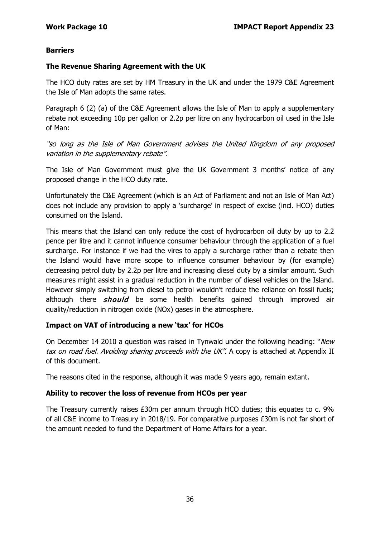#### **Barriers**

#### **The Revenue Sharing Agreement with the UK**

The HCO duty rates are set by HM Treasury in the UK and under the 1979 C&E Agreement the Isle of Man adopts the same rates.

Paragraph 6 (2) (a) of the C&E Agreement allows the Isle of Man to apply a supplementary rebate not exceeding 10p per gallon or 2.2p per litre on any hydrocarbon oil used in the Isle of Man:

"so long as the Isle of Man Government advises the United Kingdom of any proposed variation in the supplementary rebate".

The Isle of Man Government must give the UK Government 3 months' notice of any proposed change in the HCO duty rate.

Unfortunately the C&E Agreement (which is an Act of Parliament and not an Isle of Man Act) does not include any provision to apply a 'surcharge' in respect of excise (incl. HCO) duties consumed on the Island.

This means that the Island can only reduce the cost of hydrocarbon oil duty by up to 2.2 pence per litre and it cannot influence consumer behaviour through the application of a fuel surcharge. For instance if we had the vires to apply a surcharge rather than a rebate then the Island would have more scope to influence consumer behaviour by (for example) decreasing petrol duty by 2.2p per litre and increasing diesel duty by a similar amount. Such measures might assist in a gradual reduction in the number of diesel vehicles on the Island. However simply switching from diesel to petrol wouldn't reduce the reliance on fossil fuels; although there  $should$  be some health benefits gained through improved air quality/reduction in nitrogen oxide (NOx) gases in the atmosphere.

#### **Impact on VAT of introducing a new 'tax' for HCOs**

On December 14 2010 a question was raised in Tynwald under the following heading: "New tax on road fuel. Avoiding sharing proceeds with the UK". A copy is attached at Appendix II of this document.

The reasons cited in the response, although it was made 9 years ago, remain extant.

#### **Ability to recover the loss of revenue from HCOs per year**

The Treasury currently raises £30m per annum through HCO duties; this equates to c. 9% of all C&E income to Treasury in 2018/19. For comparative purposes £30m is not far short of the amount needed to fund the Department of Home Affairs for a year.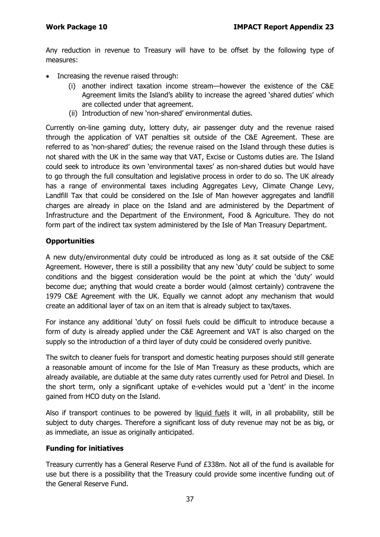Any reduction in revenue to Treasury will have to be offset by the following type of measures:

- Increasing the revenue raised through:
	- (i) another indirect taxation income stream—however the existence of the C&E Agreement limits the Island's ability to increase the agreed 'shared duties' which are collected under that agreement.
	- (ii) Introduction of new 'non-shared' environmental duties.

Currently on-line gaming duty, lottery duty, air passenger duty and the revenue raised through the application of VAT penalties sit outside of the C&E Agreement. These are referred to as 'non-shared' duties; the revenue raised on the Island through these duties is not shared with the UK in the same way that VAT, Excise or Customs duties are. The Island could seek to introduce its own 'environmental taxes' as non-shared duties but would have to go through the full consultation and legislative process in order to do so. The UK already has a range of environmental taxes including Aggregates Levy, Climate Change Levy, Landfill Tax that could be considered on the Isle of Man however aggregates and landfill charges are already in place on the Island and are administered by the Department of Infrastructure and the Department of the Environment, Food & Agriculture. They do not form part of the indirect tax system administered by the Isle of Man Treasury Department.

### **Opportunities**

A new duty/environmental duty could be introduced as long as it sat outside of the C&E Agreement. However, there is still a possibility that any new 'duty' could be subject to some conditions and the biggest consideration would be the point at which the 'duty' would become due; anything that would create a border would (almost certainly) contravene the 1979 C&E Agreement with the UK. Equally we cannot adopt any mechanism that would create an additional layer of tax on an item that is already subject to tax/taxes.

For instance any additional 'duty' on fossil fuels could be difficult to introduce because a form of duty is already applied under the C&E Agreement and VAT is also charged on the supply so the introduction of a third layer of duty could be considered overly punitive.

The switch to cleaner fuels for transport and domestic heating purposes should still generate a reasonable amount of income for the Isle of Man Treasury as these products, which are already available, are dutiable at the same duty rates currently used for Petrol and Diesel. In the short term, only a significant uptake of e-vehicles would put a 'dent' in the income gained from HCO duty on the Island.

Also if transport continues to be powered by liquid fuels it will, in all probability, still be subject to duty charges. Therefore a significant loss of duty revenue may not be as big, or as immediate, an issue as originally anticipated.

#### **Funding for initiatives**

Treasury currently has a General Reserve Fund of £338m. Not all of the fund is available for use but there is a possibility that the Treasury could provide some incentive funding out of the General Reserve Fund.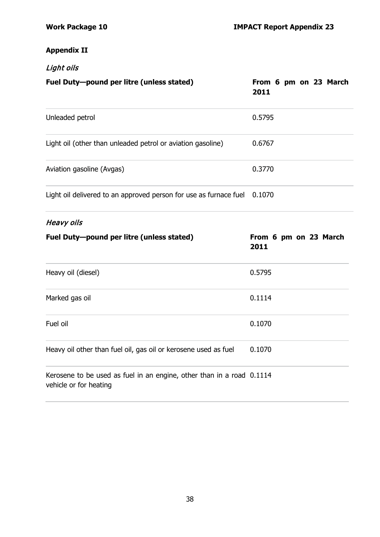## **Appendix II**

| Light oils                                                        |                               |  |
|-------------------------------------------------------------------|-------------------------------|--|
| Fuel Duty-pound per litre (unless stated)                         | From 6 pm on 23 March<br>2011 |  |
| Unleaded petrol                                                   | 0.5795                        |  |
| Light oil (other than unleaded petrol or aviation gasoline)       | 0.6767                        |  |
| Aviation gasoline (Avgas)                                         | 0.3770                        |  |
| Light oil delivered to an approved person for use as furnace fuel | 0.1070                        |  |

# Heavy oils

| Fuel Duty-pound per litre (unless stated)                             | From 6 pm on 23 March<br>2011 |
|-----------------------------------------------------------------------|-------------------------------|
| Heavy oil (diesel)                                                    | 0.5795                        |
| Marked gas oil                                                        | 0.1114                        |
| Fuel oil                                                              | 0.1070                        |
| Heavy oil other than fuel oil, gas oil or kerosene used as fuel       | 0.1070                        |
| Kerosene to be used as fuel in an engine, other than in a road 0.1114 |                               |

vehicle or for heating